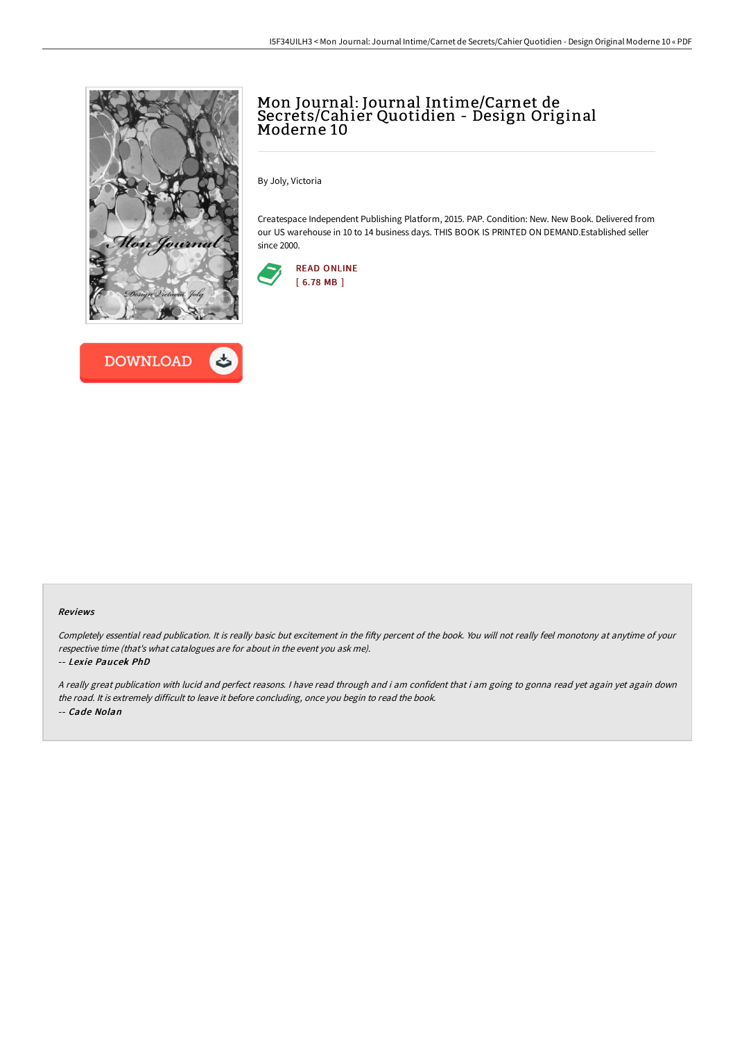



# Mon Journal: Journal Intime/Carnet de Secrets/Cahier Quotidien - Design Original Moderne 10

By Joly, Victoria

Createspace Independent Publishing Platform, 2015. PAP. Condition: New. New Book. Delivered from our US warehouse in 10 to 14 business days. THIS BOOK IS PRINTED ON DEMAND.Established seller since 2000.



#### Reviews

Completely essential read publication. It is really basic but excitement in the fifty percent of the book. You will not really feel monotony at anytime of your respective time (that's what catalogues are for about in the event you ask me).

#### -- Lexie Paucek PhD

<sup>A</sup> really great publication with lucid and perfect reasons. <sup>I</sup> have read through and i am confident that i am going to gonna read yet again yet again down the road. It is extremely difficult to leave it before concluding, once you begin to read the book. -- Cade Nolan